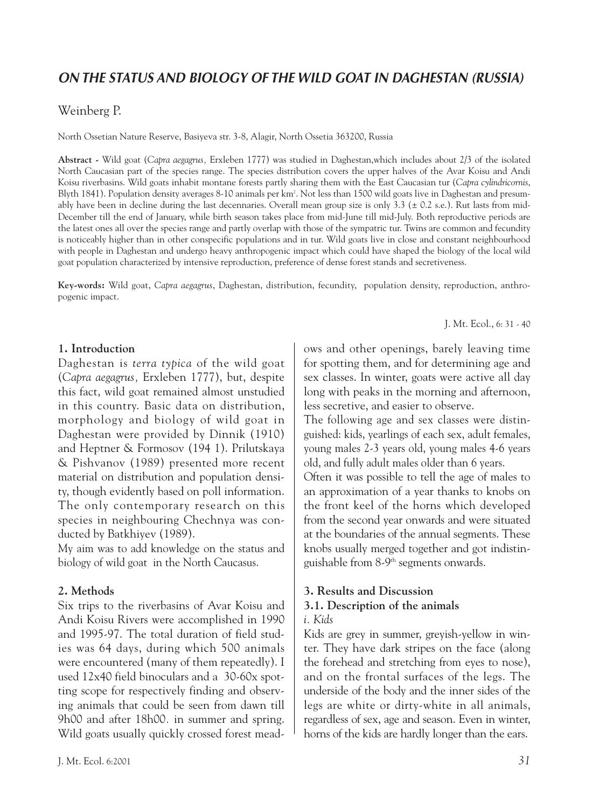# *ON THE STATUS AND BIOLOGY OF THE WILD GOAT IN DAGHESTAN (RUSSIA)*

# Weinberg P.

North Ossetian Nature Reserve, Basiyeva str. 3-8, Alagir, North Ossetia 363200, Russia

**Abstract -** Wild goat (*Capra aegagrus,* Erxleben 1777) was studied in Daghestan,which includes about 2/3 of the isolated North Caucasian part of the species range. The species distribution covers the upper halves of the Avar Koisu and Andi Koisu riverbasins. Wild goats inhabit montane forests partly sharing them with the East Caucasian tur (*Capra cylindricornis*, Blyth 1841). Population density averages 8-10 animals per km2 . Not less than 1500 wild goats live in Daghestan and presumably have been in decline during the last decennaries. Overall mean group size is only  $3.3 \text{ (+ } 0.2 \text{ s.e.})$ . Rut lasts from mid-December till the end of January, while birth season takes place from mid-June till mid-July. Both reproductive periods are the latest ones all over the species range and partly overlap with those of the sympatric tur. Twins are common and fecundity is noticeably higher than in other conspecific populations and in tur. Wild goats live in close and constant neighbourhood with people in Daghestan and undergo heavy anthropogenic impact which could have shaped the biology of the local wild goat population characterized by intensive reproduction, preference of dense forest stands and secretiveness.

**Key-words:** Wild goat, *Capra aegagrus*, Daghestan, distribution, fecundity, population density, reproduction, anthropogenic impact.

J. Mt. Ecol., 6: 31 - 40

#### **1. Introduction**

Daghestan is *terra typica* of the wild goat (*Capra aegagrus,* Erxleben 1777), but, despite this fact, wild goat remained almost unstudied in this country. Basic data on distribution, morphology and biology of wild goat in Daghestan were provided by Dinnik (1910) and Heptner & Formosov (194 1). Prilutskaya & Pishvanov (1989) presented more recent material on distribution and population density, though evidently based on poll information. The only contemporary research on this species in neighbouring Chechnya was conducted by Batkhiyev (1989).

My aim was to add knowledge on the status and biology of wild goat in the North Caucasus.

# **2. Methods**

Six trips to the riverbasins of Avar Koisu and Andi Koisu Rivers were accomplished in 1990 and 1995-97. The total duration of field studies was 64 days, during which 500 animals were encountered (many of them repeatedly). I used 12x40 field binoculars and a 30-60x spotting scope for respectively finding and observing animals that could be seen from dawn till 9h00 and after 18h00*.* in summer and spring. Wild goats usually quickly crossed forest meadows and other openings, barely leaving time for spotting them, and for determining age and sex classes. In winter, goats were active all day long with peaks in the morning and afternoon, less secretive, and easier to observe.

The following age and sex classes were distinguished: kids, yearlings of each sex, adult females, young males 2-3 years old, young males 4-6 years old, and fully adult males older than 6 years.

Often it was possible to tell the age of males to an approximation of a year thanks to knobs on the front keel of the horns which developed from the second year onwards and were situated at the boundaries of the annual segments. These knobs usually merged together and got indistinguishable from 8-9th segments onwards.

# **3. Results and Discussion**

#### **3.1. Description of the animals** *i. Kids*

Kids are grey in summer, greyish-yellow in winter. They have dark stripes on the face (along the forehead and stretching from eyes to nose), and on the frontal surfaces of the legs. The

underside of the body and the inner sides of the legs are white or dirty-white in all animals, regardless of sex, age and season. Even in winter, horns of the kids are hardly longer than the ears.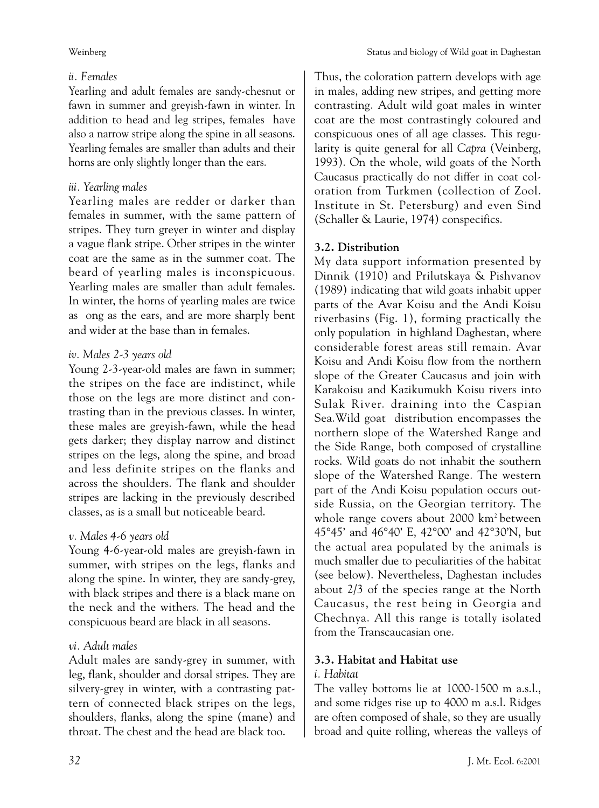# *ii. Females*

Yearling and adult females are sandy-chesnut or fawn in summer and greyish-fawn in winter. In addition to head and leg stripes, females have also a narrow stripe along the spine in all seasons. Yearling females are smaller than adults and their horns are only slightly longer than the ears.

# *iii. Yearling males*

Yearling males are redder or darker than females in summer, with the same pattern of stripes. They turn greyer in winter and display a vague flank stripe. Other stripes in the winter coat are the same as in the summer coat. The beard of yearling males is inconspicuous. Yearling males are smaller than adult females. In winter, the horns of yearling males are twice as ong as the ears, and are more sharply bent and wider at the base than in females.

# *iv. Males 2-3 years old*

Young 2-3-year-old males are fawn in summer; the stripes on the face are indistinct, while those on the legs are more distinct and contrasting than in the previous classes. In winter, these males are greyish-fawn, while the head gets darker; they display narrow and distinct stripes on the legs, along the spine, and broad and less definite stripes on the flanks and across the shoulders. The flank and shoulder stripes are lacking in the previously described classes, as is a small but noticeable beard.

# *v. Males 4-6 years old*

Young 4-6-year-old males are greyish-fawn in summer, with stripes on the legs, flanks and along the spine. In winter, they are sandy-grey, with black stripes and there is a black mane on the neck and the withers. The head and the conspicuous beard are black in all seasons.

# *vi. Adult males*

Adult males are sandy-grey in summer, with leg, flank, shoulder and dorsal stripes. They are silvery-grey in winter, with a contrasting pattern of connected black stripes on the legs, shoulders, flanks, along the spine (mane) and throat. The chest and the head are black too.

Thus, the coloration pattern develops with age in males, adding new stripes, and getting more contrasting. Adult wild goat males in winter coat are the most contrastingly coloured and conspicuous ones of all age classes. This regularity is quite general for all *Capra* (Veinberg, 1993). On the whole, wild goats of the North Caucasus practically do not differ in coat coloration from Turkmen (collection of Zool. Institute in St. Petersburg) and even Sind (Schaller & Laurie, 1974) conspecifics.

# **3.2. Distribution**

My data support information presented by Dinnik (1910) and Prilutskaya & Pishvanov (1989) indicating that wild goats inhabit upper parts of the Avar Koisu and the Andi Koisu riverbasins (Fig. 1), forming practically the only population in highland Daghestan, where considerable forest areas still remain. Avar Koisu and Andi Koisu flow from the northern slope of the Greater Caucasus and join with Karakoisu and Kazikumukh Koisu rivers into Sulak River. draining into the Caspian Sea.Wild goat distribution encompasses the northern slope of the Watershed Range and the Side Range, both composed of crystalline rocks. Wild goats do not inhabit the southern slope of the Watershed Range. The western part of the Andi Koisu population occurs outside Russia, on the Georgian territory. The whole range covers about 2000 km<sup>2</sup> between 45°45' and 46°40' E, 42°00' and 42°30'N, but the actual area populated by the animals is much smaller due to peculiarities of the habitat (see below). Nevertheless, Daghestan includes about 2/3 of the species range at the North Caucasus, the rest being in Georgia and Chechnya. All this range is totally isolated from the Transcaucasian one.

# **3.3. Habitat and Habitat use**

# *i. Habitat*

The valley bottoms lie at 1000-1500 m a.s.l., and some ridges rise up to 4000 m a.s.l. Ridges are often composed of shale, so they are usually broad and quite rolling, whereas the valleys of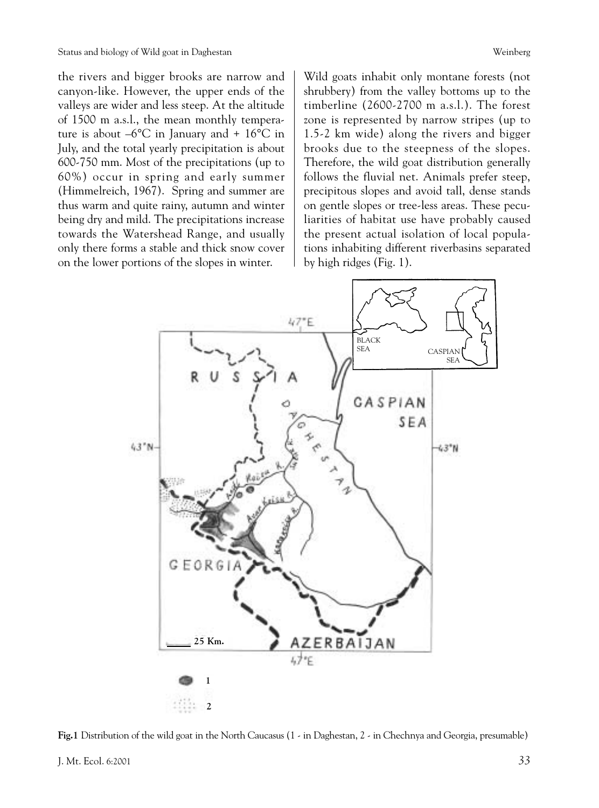the rivers and bigger brooks are narrow and canyon-like. However, the upper ends of the valleys are wider and less steep. At the altitude of 1500 m a.s.l., the mean monthly temperature is about  $-6^{\circ}$ C in January and + 16 $^{\circ}$ C in July, and the total yearly precipitation is about 600-750 mm. Most of the precipitations (up to 60%) occur in spring and early summer (Himmelreich, 1967). Spring and summer are thus warm and quite rainy, autumn and winter being dry and mild. The precipitations increase towards the Watershead Range, and usually only there forms a stable and thick snow cover on the lower portions of the slopes in winter.

Wild goats inhabit only montane forests (not shrubbery) from the valley bottoms up to the timberline (2600-2700 m a.s.l.). The forest zone is represented by narrow stripes (up to 1.5-2 km wide) along the rivers and bigger brooks due to the steepness of the slopes. Therefore, the wild goat distribution generally follows the fluvial net. Animals prefer steep, precipitous slopes and avoid tall, dense stands on gentle slopes or tree-less areas. These peculiarities of habitat use have probably caused the present actual isolation of local populations inhabiting different riverbasins separated by high ridges (Fig. 1).



**Fig.1** Distribution of the wild goat in the North Caucasus (1 - in Daghestan, 2 - in Chechnya and Georgia, presumable)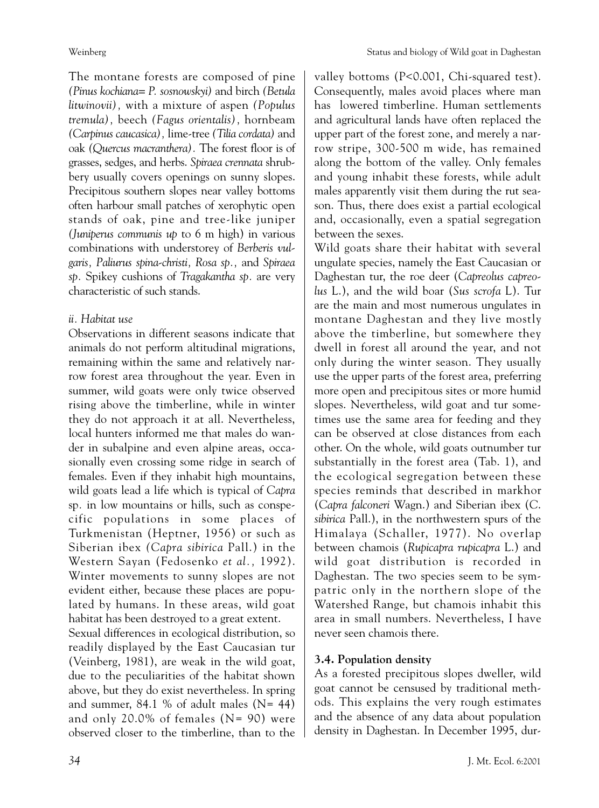The montane forests are composed of pine *(Pinus kochiana= P. sosnowskyi)* and birch *(Betula litwinovii),* with a mixture of aspen *(Populus tremula),* beech *(Fagus orientalis),* hornbeam *(Carpinus caucasica),* lime-tree *(Tilia cordata)* and oak *(Quercus macranthera).* The forest floor is of grasses, sedges, and herbs. *Spiraea crennata* shrubbery usually covers openings on sunny slopes. Precipitous southern slopes near valley bottoms often harbour small patches of xerophytic open stands of oak, pine and tree-like juniper *(Juniperus communis up* to 6 m high) in various combinations with understorey of *Berberis vulgaris, Paliurus spina-christi, Rosa sp.,* and *Spiraea sp.* Spikey cushions of *Tragakantha sp.* are very characteristic of such stands.

#### *ii. Habitat use*

Observations in different seasons indicate that animals do not perform altitudinal migrations, remaining within the same and relatively narrow forest area throughout the year. Even in summer, wild goats were only twice observed rising above the timberline, while in winter they do not approach it at all. Nevertheless, local hunters informed me that males do wander in subalpine and even alpine areas, occasionally even crossing some ridge in search of females. Even if they inhabit high mountains, wild goats lead a life which is typical of *Capra* sp*.* in low mountains or hills, such as conspecific populations in some places of Turkmenistan (Heptner, 1956) or such as Siberian ibex *(Capra sibirica* Pall.) in the Western Sayan (Fedosenko *et al.,* 1992). Winter movements to sunny slopes are not evident either, because these places are populated by humans. In these areas, wild goat habitat has been destroyed to a great extent.

Sexual differences in ecological distribution, so readily displayed by the East Caucasian tur (Veinberg, 1981), are weak in the wild goat, due to the peculiarities of the habitat shown above, but they do exist nevertheless. In spring and summer,  $84.1\%$  of adult males (N= 44) and only 20.0% of females (N= 90) were observed closer to the timberline, than to the valley bottoms (P<0.001, Chi-squared test). Consequently, males avoid places where man has lowered timberline. Human settlements and agricultural lands have often replaced the upper part of the forest zone, and merely a narrow stripe, 300-500 m wide, has remained along the bottom of the valley. Only females and young inhabit these forests, while adult males apparently visit them during the rut season. Thus, there does exist a partial ecological and, occasionally, even a spatial segregation between the sexes.

Wild goats share their habitat with several ungulate species, namely the East Caucasian or Daghestan tur, the roe deer (*Capreolus capreolus* L.), and the wild boar (*Sus scrofa* L). Tur are the main and most numerous ungulates in montane Daghestan and they live mostly above the timberline, but somewhere they dwell in forest all around the year, and not only during the winter season. They usually use the upper parts of the forest area, preferring more open and precipitous sites or more humid slopes. Nevertheless, wild goat and tur sometimes use the same area for feeding and they can be observed at close distances from each other. On the whole, wild goats outnumber tur substantially in the forest area (Tab. 1), and the ecological segregation between these species reminds that described in markhor (*Capra falconeri* Wagn.) and Siberian ibex (*C*. *sibirica* Pall.), in the northwestern spurs of the Himalaya (Schaller, 1977). No overlap between chamois (*Rupicapra rupicapra* L.) and wild goat distribution is recorded in Daghestan. The two species seem to be sympatric only in the northern slope of the Watershed Range, but chamois inhabit this area in small numbers. Nevertheless, I have never seen chamois there.

# **3.4. Population density**

As a forested precipitous slopes dweller, wild goat cannot be censused by traditional methods. This explains the very rough estimates and the absence of any data about population density in Daghestan. In December 1995, dur-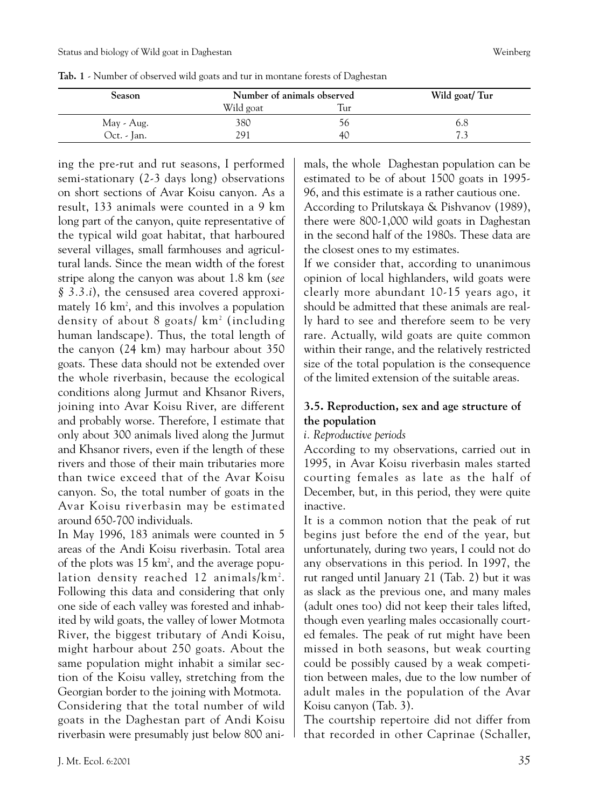| Season      | Number of animals observed |     | Wild goat/Tur |  |  |
|-------------|----------------------------|-----|---------------|--|--|
|             | Wild goat                  | Tur |               |  |  |
| May - Aug.  | 380                        | 70  | 6.8           |  |  |
| Oct. - Jan. | 291                        | 40  |               |  |  |

**Tab. 1** - Number of observed wild goats and tur in montane forests of Daghestan

ing the pre-rut and rut seasons, I performed semi-stationary (2-3 days long) observations on short sections of Avar Koisu canyon. As a result, 133 animals were counted in a 9 km long part of the canyon, quite representative of the typical wild goat habitat, that harboured several villages, small farmhouses and agricultural lands. Since the mean width of the forest stripe along the canyon was about 1.8 km (*see § 3.3.i*), the censused area covered approximately 16 km2 , and this involves a population density of about 8 goats/ km2 (including human landscape). Thus, the total length of the canyon (24 km) may harbour about 350 goats. These data should not be extended over the whole riverbasin, because the ecological conditions along Jurmut and Khsanor Rivers, joining into Avar Koisu River, are different and probably worse. Therefore, I estimate that only about 300 animals lived along the Jurmut and Khsanor rivers, even if the length of these rivers and those of their main tributaries more than twice exceed that of the Avar Koisu canyon. So, the total number of goats in the Avar Koisu riverbasin may be estimated around 650-700 individuals.

In May 1996, 183 animals were counted in 5 areas of the Andi Koisu riverbasin. Total area of the plots was 15 km2 , and the average population density reached 12 animals/km2 . Following this data and considering that only one side of each valley was forested and inhabited by wild goats, the valley of lower Motmota River, the biggest tributary of Andi Koisu, might harbour about 250 goats. About the same population might inhabit a similar section of the Koisu valley, stretching from the Georgian border to the joining with Motmota.

Considering that the total number of wild goats in the Daghestan part of Andi Koisu riverbasin were presumably just below 800 animals, the whole Daghestan population can be estimated to be of about 1500 goats in 1995- 96, and this estimate is a rather cautious one.

According to Prilutskaya & Pishvanov (1989), there were 800-1,000 wild goats in Daghestan in the second half of the 1980s. These data are the closest ones to my estimates.

If we consider that, according to unanimous opinion of local highlanders, wild goats were clearly more abundant 10-15 years ago, it should be admitted that these animals are really hard to see and therefore seem to be very rare. Actually, wild goats are quite common within their range, and the relatively restricted size of the total population is the consequence of the limited extension of the suitable areas.

# **3.5. Reproduction, sex and age structure of the population**

*i. Reproductive periods*

According to my observations, carried out in 1995, in Avar Koisu riverbasin males started courting females as late as the half of December, but, in this period, they were quite inactive.

It is a common notion that the peak of rut begins just before the end of the year, but unfortunately, during two years, I could not do any observations in this period. In 1997, the rut ranged until January 21 (Tab. 2) but it was as slack as the previous one, and many males (adult ones too) did not keep their tales lifted, though even yearling males occasionally courted females. The peak of rut might have been missed in both seasons, but weak courting could be possibly caused by a weak competition between males, due to the low number of adult males in the population of the Avar Koisu canyon (Tab. 3).

The courtship repertoire did not differ from that recorded in other Caprinae (Schaller,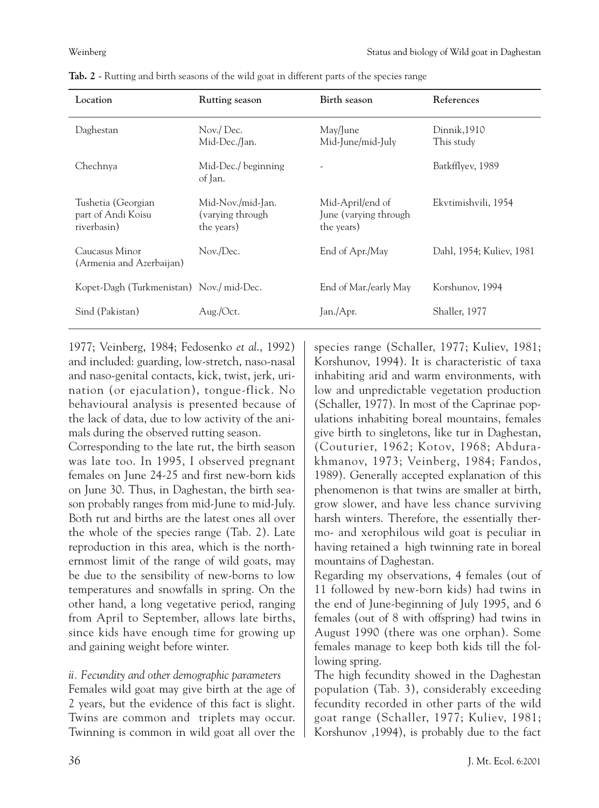| Location                                                | <b>Rutting season</b>                               | Birth season                                             | References                 |
|---------------------------------------------------------|-----------------------------------------------------|----------------------------------------------------------|----------------------------|
| Daghestan                                               | Nov./Dec.<br>Mid-Dec./Jan.                          | May/June<br>Mid-June/mid-July                            | Dinnik, 1910<br>This study |
| Chechnya                                                | Mid-Dec./ beginning<br>of Jan.                      |                                                          | Batkfflyev, 1989           |
| Tushetia (Georgian<br>part of Andi Koisu<br>riverbasin) | Mid-Nov./mid-Jan.<br>(varying through<br>the years) | Mid-April/end of<br>June (varying through)<br>the years) | Ekvtimishvili, 1954        |
| Caucasus Minor<br>(Armenia and Azerbaijan)              | Nov./Dec.                                           | End of Apr./May                                          | Dahl, 1954; Kuliev, 1981   |
| Kopet-Dagh (Turkmenistan) Nov./ mid-Dec.                |                                                     | End of Mar./early May                                    | Korshunov, 1994            |
| Sind (Pakistan)                                         | Aug./Oct.                                           | Jan./Apr.                                                | Shaller, 1977              |

**Tab. 2** - Rutting and birth seasons of the wild goat in different parts of the species range

1977; Veinberg, 1984; Fedosenko *et al*., 1992) and included: guarding, low-stretch, naso-nasal and naso-genital contacts, kick, twist, jerk, urination (or ejaculation), tongue-flick. No behavioural analysis is presented because of the lack of data, due to low activity of the animals during the observed rutting season.

Corresponding to the late rut, the birth season was late too. In 1995, I observed pregnant females on June 24-25 and first new-born kids on June 30. Thus, in Daghestan, the birth season probably ranges from mid-June to mid-July. Both rut and births are the latest ones all over the whole of the species range (Tab. 2). Late reproduction in this area, which is the northernmost limit of the range of wild goats, may be due to the sensibility of new-borns to low temperatures and snowfalls in spring. On the other hand, a long vegetative period, ranging from April to September, allows late births, since kids have enough time for growing up and gaining weight before winter.

# *ii. Fecundity and other demographic parameters*

Females wild goat may give birth at the age of 2 years, but the evidence of this fact is slight. Twins are common and triplets may occur. Twinning is common in wild goat all over the species range (Schaller, 1977; Kuliev, 1981; Korshunov, 1994). It is characteristic of taxa inhabiting arid and warm environments, with low and unpredictable vegetation production (Schaller, 1977). In most of the Caprinae populations inhabiting boreal mountains, females give birth to singletons, like tur in Daghestan, (Couturier, 1962; Kotov, 1968; Abdurakhmanov, 1973; Veinberg, 1984; Fandos, 1989). Generally accepted explanation of this phenomenon is that twins are smaller at birth, grow slower, and have less chance surviving harsh winters. Therefore, the essentially thermo- and xerophilous wild goat is peculiar in having retained a high twinning rate in boreal mountains of Daghestan.

Regarding my observations, 4 females (out of 11 followed by new-born kids) had twins in the end of June-beginning of July 1995, and 6 females (out of 8 with offspring) had twins in August 1990 (there was one orphan). Some females manage to keep both kids till the following spring.

The high fecundity showed in the Daghestan population (Tab. 3), considerably exceeding fecundity recorded in other parts of the wild goat range (Schaller, 1977; Kuliev, 1981; Korshunov ,1994), is probably due to the fact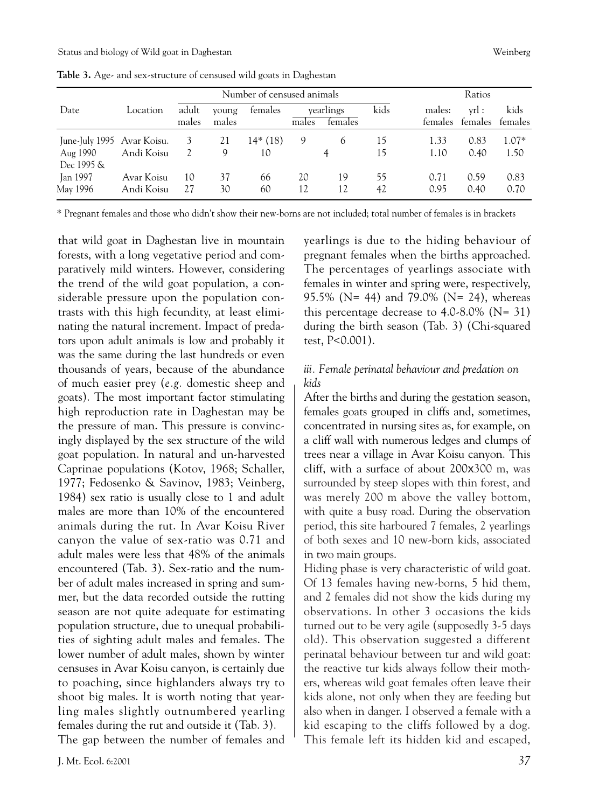|                                                      |                          | Number of censused animals |                |                 |          |                      | Ratios   |                   |                 |                 |
|------------------------------------------------------|--------------------------|----------------------------|----------------|-----------------|----------|----------------------|----------|-------------------|-----------------|-----------------|
| Date                                                 | Location                 | adult<br>males             | young<br>males | females         | males    | vearlings<br>temales | kids     | males:<br>females | vrl:<br>females | kids<br>females |
| June-July 1995 Avar Koisu.<br>Aug 1990<br>Dec 1995 & | Andi Koisu               | 3<br>2                     | 21<br>9        | $14*(18)$<br>10 | 9        | 6                    | 15<br>15 | 1.33<br>1.10      | 0.83<br>0.40    | $1.07*$<br>1.50 |
| Jan 1997<br>May 1996                                 | Avar Koisu<br>Andi Koisu | 10<br>27                   | 37<br>30       | 66<br>60        | 20<br>12 | 19<br>12             | 55<br>42 | 0.71<br>0.95      | 0.59<br>0.40    | 0.83<br>0.70    |

**Table 3.** Age- and sex-structure of censused wild goats in Daghestan

\* Pregnant females and those who didn't show their new-borns are not included; total number of females is in brackets

that wild goat in Daghestan live in mountain forests, with a long vegetative period and comparatively mild winters. However, considering the trend of the wild goat population, a considerable pressure upon the population contrasts with this high fecundity, at least eliminating the natural increment. Impact of predators upon adult animals is low and probably it was the same during the last hundreds or even thousands of years, because of the abundance of much easier prey (*e.g.* domestic sheep and goats). The most important factor stimulating high reproduction rate in Daghestan may be the pressure of man. This pressure is convincingly displayed by the sex structure of the wild goat population. In natural and un-harvested Caprinae populations (Kotov, 1968; Schaller, 1977; Fedosenko & Savinov, 1983; Veinberg, 1984) sex ratio is usually close to 1 and adult males are more than 10% of the encountered animals during the rut. In Avar Koisu River canyon the value of sex-ratio was 0.71 and adult males were less that 48% of the animals encountered (Tab. 3). Sex-ratio and the number of adult males increased in spring and summer, but the data recorded outside the rutting season are not quite adequate for estimating population structure, due to unequal probabilities of sighting adult males and females. The lower number of adult males, shown by winter censuses in Avar Koisu canyon, is certainly due to poaching, since highlanders always try to shoot big males. It is worth noting that yearling males slightly outnumbered yearling females during the rut and outside it (Tab. 3). The gap between the number of females and yearlings is due to the hiding behaviour of pregnant females when the births approached. The percentages of yearlings associate with females in winter and spring were, respectively, 95.5% (N= 44) and 79.0% (N= 24), whereas this percentage decrease to 4.0-8.0% (N= 31) during the birth season (Tab. 3) (Chi-squared test, P<0.001).

#### *iii. Female perinatal behaviour and predation on kids*

After the births and during the gestation season, females goats grouped in cliffs and, sometimes, concentrated in nursing sites as, for example, on a cliff wall with numerous ledges and clumps of trees near a village in Avar Koisu canyon. This cliff, with a surface of about 200x300 m, was surrounded by steep slopes with thin forest, and was merely 200 m above the valley bottom, with quite a busy road. During the observation period, this site harboured 7 females, 2 yearlings of both sexes and 10 new-born kids, associated in two main groups.

Hiding phase is very characteristic of wild goat. Of 13 females having new-borns, 5 hid them, and 2 females did not show the kids during my observations. In other 3 occasions the kids turned out to be very agile (supposedly 3-5 days old). This observation suggested a different perinatal behaviour between tur and wild goat: the reactive tur kids always follow their mothers, whereas wild goat females often leave their kids alone, not only when they are feeding but also when in danger. I observed a female with a kid escaping to the cliffs followed by a dog. This female left its hidden kid and escaped,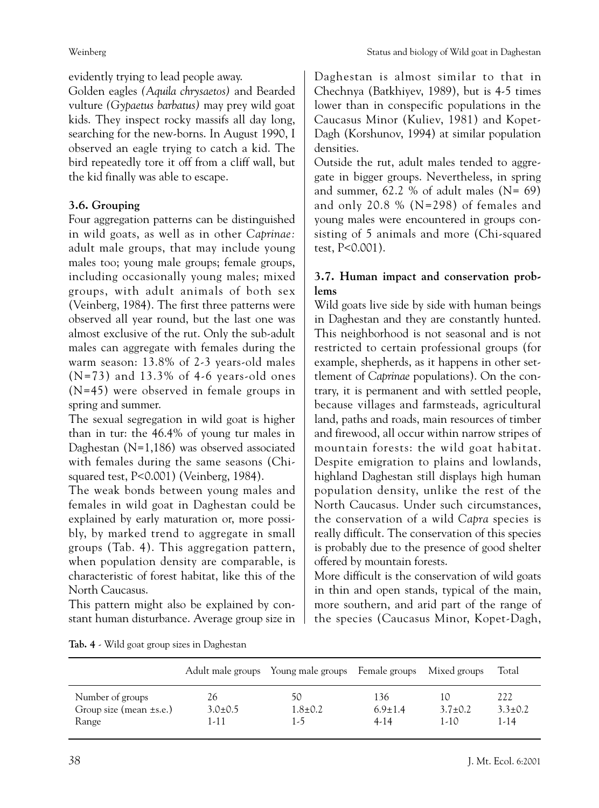evidently trying to lead people away.

Golden eagles *(Aquila chrysaetos)* and Bearded vulture *(Gypaetus barbatus)* may prey wild goat kids. They inspect rocky massifs all day long, searching for the new-borns. In August 1990, I observed an eagle trying to catch a kid. The bird repeatedly tore it off from a cliff wall, but the kid finally was able to escape.

# **3.6. Grouping**

Four aggregation patterns can be distinguished in wild goats, as well as in other *Caprinae:* adult male groups, that may include young males too; young male groups; female groups, including occasionally young males; mixed groups, with adult animals of both sex (Veinberg, 1984). The first three patterns were observed all year round, but the last one was almost exclusive of the rut. Only the sub-adult males can aggregate with females during the warm season: 13.8% of 2-3 years-old males  $(N=73)$  and 13.3% of 4-6 years-old ones (N=45) were observed in female groups in spring and summer.

The sexual segregation in wild goat is higher than in tur: the 46.4% of young tur males in Daghestan (N=1,186) was observed associated with females during the same seasons (Chisquared test, P<0.001) (Veinberg, 1984).

The weak bonds between young males and females in wild goat in Daghestan could be explained by early maturation or, more possibly, by marked trend to aggregate in small groups (Tab. 4). This aggregation pattern, when population density are comparable, is characteristic of forest habitat, like this of the North Caucasus.

This pattern might also be explained by constant human disturbance. Average group size in Daghestan is almost similar to that in Chechnya (Batkhiyev, 1989), but is 4-5 times lower than in conspecific populations in the Caucasus Minor (Kuliev, 1981) and Kopet-Dagh (Korshunov, 1994) at similar population densities.

Outside the rut, adult males tended to aggregate in bigger groups. Nevertheless, in spring and summer,  $62.2 %$  of adult males (N= 69) and only 20.8 % (N=298) of females and young males were encountered in groups consisting of 5 animals and more (Chi-squared test, P<0.001).

# **3.7. Human impact and conservation problems**

Wild goats live side by side with human beings in Daghestan and they are constantly hunted. This neighborhood is not seasonal and is not restricted to certain professional groups (for example, shepherds, as it happens in other settlement of *Caprinae* populations). On the contrary, it is permanent and with settled people, because villages and farmsteads, agricultural land, paths and roads, main resources of timber and firewood, all occur within narrow stripes of mountain forests: the wild goat habitat. Despite emigration to plains and lowlands, highland Daghestan still displays high human population density, unlike the rest of the North Caucasus. Under such circumstances, the conservation of a wild *Capra* species is really difficult. The conservation of this species is probably due to the presence of good shelter offered by mountain forests.

More difficult is the conservation of wild goats in thin and open stands, typical of the main, more southern, and arid part of the range of the species (Caucasus Minor, Kopet-Dagh,

|  |  |  | Tab. 4 - Wild goat group sizes in Daghestan |
|--|--|--|---------------------------------------------|
|--|--|--|---------------------------------------------|

|                                                           | Adult male groups           | Young male groups Female groups |                                | Mixed groups          | Total                        |
|-----------------------------------------------------------|-----------------------------|---------------------------------|--------------------------------|-----------------------|------------------------------|
| Number of groups<br>Group size (mean $\pm$ s.e.)<br>Range | 26<br>$3.0 \pm 0.5$<br>1-11 | 50<br>$1.8 \pm 0.2$<br>1.5      | 136<br>$6.9 \pm 1.4$<br>$4-14$ | $3.7 \pm 0.2$<br>1-10 | 222<br>$3.3 \pm 0.2$<br>1-14 |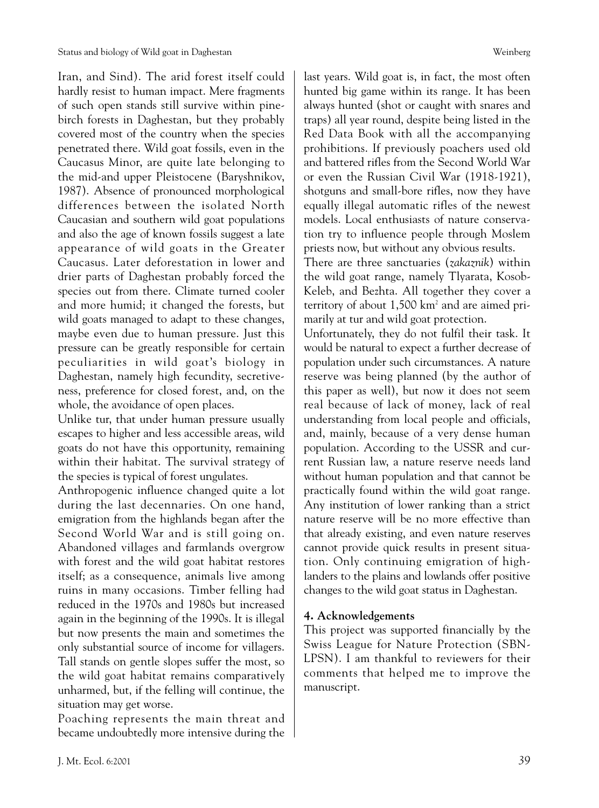Iran, and Sind). The arid forest itself could hardly resist to human impact. Mere fragments of such open stands still survive within pinebirch forests in Daghestan, but they probably covered most of the country when the species penetrated there. Wild goat fossils, even in the Caucasus Minor, are quite late belonging to the mid-and upper Pleistocene (Baryshnikov, 1987). Absence of pronounced morphological differences between the isolated North Caucasian and southern wild goat populations and also the age of known fossils suggest a late appearance of wild goats in the Greater Caucasus. Later deforestation in lower and drier parts of Daghestan probably forced the species out from there. Climate turned cooler and more humid; it changed the forests, but wild goats managed to adapt to these changes, maybe even due to human pressure. Just this pressure can be greatly responsible for certain peculiarities in wild goat's biology in Daghestan, namely high fecundity, secretiveness, preference for closed forest, and, on the whole, the avoidance of open places.

Unlike tur, that under human pressure usually escapes to higher and less accessible areas, wild goats do not have this opportunity, remaining within their habitat. The survival strategy of the species is typical of forest ungulates.

Anthropogenic influence changed quite a lot during the last decennaries. On one hand, emigration from the highlands began after the Second World War and is still going on. Abandoned villages and farmlands overgrow with forest and the wild goat habitat restores itself; as a consequence, animals live among ruins in many occasions. Timber felling had reduced in the 1970s and 1980s but increased again in the beginning of the 1990s. It is illegal but now presents the main and sometimes the only substantial source of income for villagers. Tall stands on gentle slopes suffer the most, so the wild goat habitat remains comparatively unharmed, but, if the felling will continue, the situation may get worse.

Poaching represents the main threat and became undoubtedly more intensive during the last years. Wild goat is, in fact, the most often hunted big game within its range. It has been always hunted (shot or caught with snares and traps) all year round, despite being listed in the Red Data Book with all the accompanying prohibitions. If previously poachers used old and battered rifles from the Second World War or even the Russian Civil War (1918-1921), shotguns and small-bore rifles, now they have equally illegal automatic rifles of the newest models. Local enthusiasts of nature conservation try to influence people through Moslem priests now, but without any obvious results.

There are three sanctuaries (*zakaznik*) within the wild goat range, namely Tlyarata, Kosob-Keleb, and Bezhta. All together they cover a territory of about  $1,500 \text{ km}^2$  and are aimed primarily at tur and wild goat protection.

Unfortunately, they do not fulfil their task. It would be natural to expect a further decrease of population under such circumstances. A nature reserve was being planned (by the author of this paper as well), but now it does not seem real because of lack of money, lack of real understanding from local people and officials, and, mainly, because of a very dense human population. According to the USSR and current Russian law, a nature reserve needs land without human population and that cannot be practically found within the wild goat range. Any institution of lower ranking than a strict nature reserve will be no more effective than that already existing, and even nature reserves cannot provide quick results in present situation. Only continuing emigration of highlanders to the plains and lowlands offer positive changes to the wild goat status in Daghestan.

# **4. Acknowledgements**

This project was supported financially by the Swiss League for Nature Protection (SBN-LPSN). I am thankful to reviewers for their comments that helped me to improve the manuscript.